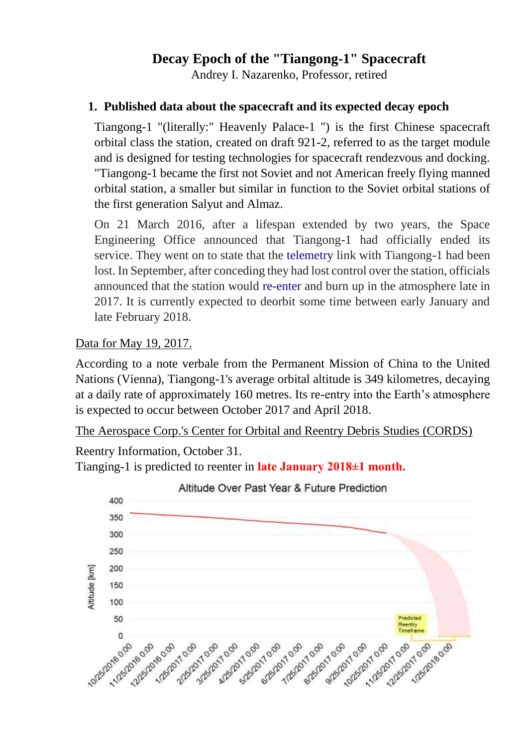# **Decay Epoch of the "Tiangong-1" Spacecraft**

Andrey I. Nazarenko, Professor, retired

### **1. Published data about the spacecraft and its expected decay epoch**

Tiangong-1 "(literally:" Heavenly Palace-1 ") is the first Chinese spacecraft orbital class the station, created on draft 921-2, referred to as the target module and is designed for testing technologies for spacecraft rendezvous and docking. "Tiangong-1 became the first not Soviet and not American freely flying manned orbital station, a smaller but similar in function to the Soviet orbital stations of the first generation Salyut and Almaz.

On 21 March 2016, after a lifespan extended by two years, the Space Engineering Office announced that Tiangong-1 had officially ended its service. They went on to state that the [telemetry](https://en.wikipedia.org/wiki/Telemetry) link with Tiangong-1 had been lost. In September, after conceding they had lost control over the station, officials announced that the station would [re-enter](https://en.wikipedia.org/wiki/Atmospheric_entry) and burn up in the atmosphere late in 2017. It is currently expected to deorbit some time between early January and late February 2018.

Data for May 19, 2017.

According to a note verbale from the Permanent Mission of China to the United Nations (Vienna), Tiangong-1's average orbital altitude is 349 kilometres, decaying at a daily rate of approximately 160 metres. Its re-entry into the Earth's atmosphere is expected to occur between October 2017 and April 2018.

The Aerospace Corp.'s Center for Orbital and Reentry Debris Studies (CORDS)

Reentry Information, October 31.

Tianging-1 is predicted to reenter in **late January 2018±1 month.**

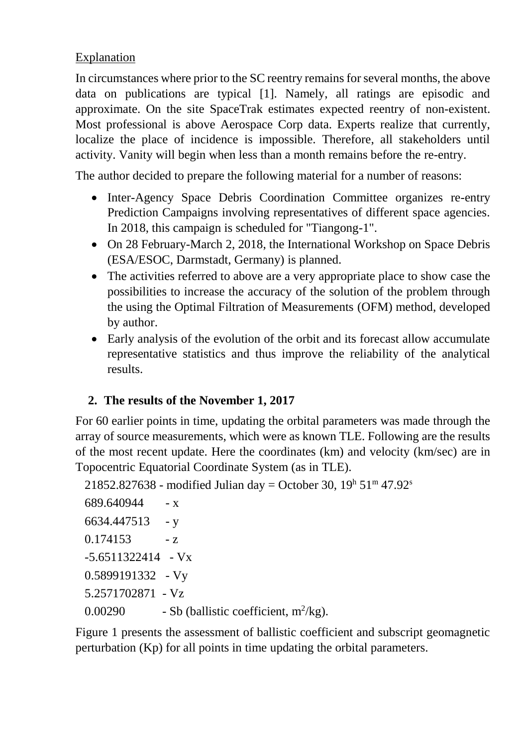## Explanation

In circumstances where prior to the SC reentry remains for several months, the above data on publications are typical [1]. Namely, all ratings are episodic and approximate. On the site SpaceTrak estimates expected reentry of non-existent. Most professional is above Aerospace Corp data. Experts realize that currently, localize the place of incidence is impossible. Therefore, all stakeholders until activity. Vanity will begin when less than a month remains before the re-entry.

The author decided to prepare the following material for a number of reasons:

- Inter-Agency Space Debris Coordination Committee organizes re-entry Prediction Campaigns involving representatives of different space agencies. In 2018, this campaign is scheduled for "Tiangong-1".
- On 28 February-March 2, 2018, the International Workshop on Space Debris (ESA/ESOC, Darmstadt, Germany) is planned.
- The activities referred to above are a very appropriate place to show case the possibilities to increase the accuracy of the solution of the problem through the using the Optimal Filtration of Measurements (OFM) method, developed by author.
- Early analysis of the evolution of the orbit and its forecast allow accumulate representative statistics and thus improve the reliability of the analytical results.

# **2. The results of the November 1, 2017**

For 60 earlier points in time, updating the orbital parameters was made through the array of source measurements, which were as known TLE. Following are the results of the most recent update. Here the coordinates (km) and velocity (km/sec) are in Topocentric Equatorial Coordinate System (as in TLE).

```
21852.827638 - modified Julian day = October 30, 19^h 51^m 47.92^s
```

```
689.640944 - x 6634.447513 - y
 0.174153 - z-5.6511322414 - Vx 0.5899191332 - Vy
  5.2571702871 - Vz
0.00290 - Sb (ballistic coefficient, m^2/kg).
```
Figure 1 presents the assessment of ballistic coefficient and subscript geomagnetic perturbation (Kp) for all points in time updating the orbital parameters.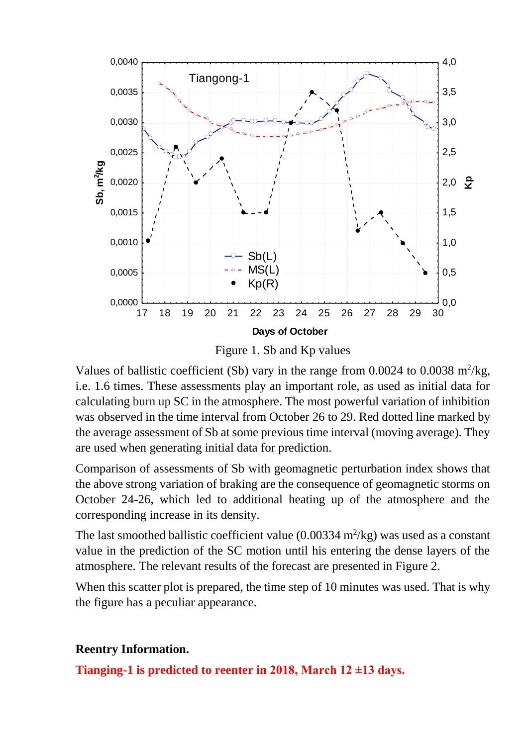

Figure 1. Sb and Kp values

Values of ballistic coefficient (Sb) vary in the range from  $0.0024$  to  $0.0038$  m<sup>2</sup>/kg, i.e. 1.6 times. These assessments play an important role, as used as initial data for calculating burn up SC in the atmosphere. The most powerful variation of inhibition was observed in the time interval from October 26 to 29. Red dotted line marked by the average assessment of Sb at some previous time interval (moving average). They are used when generating initial data for prediction.

Comparison of assessments of Sb with geomagnetic perturbation index shows that the above strong variation of braking are the consequence of geomagnetic storms on October 24-26, which led to additional heating up of the atmosphere and the corresponding increase in its density.

The last smoothed ballistic coefficient value  $(0.00334 \text{ m}^2/\text{kg})$  was used as a constant value in the prediction of the SC motion until his entering the dense layers of the atmosphere. The relevant results of the forecast are presented in Figure 2.

When this scatter plot is prepared, the time step of 10 minutes was used. That is why the figure has a peculiar appearance.

#### **Reentry Information.**

**Tianging-1 is predicted to reenter in 2018, March 12 ±13 days.**